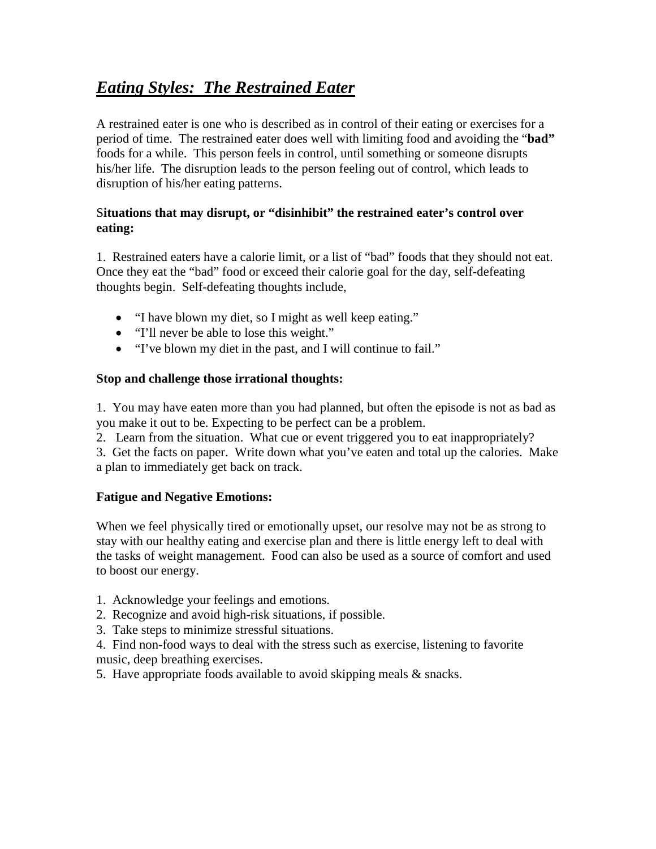# *Eating Styles: The Restrained Eater*

A restrained eater is one who is described as in control of their eating or exercises for a period of time. The restrained eater does well with limiting food and avoiding the "**bad"** foods for a while. This person feels in control, until something or someone disrupts his/her life. The disruption leads to the person feeling out of control, which leads to disruption of his/her eating patterns.

# S**ituations that may disrupt, or "disinhibit" the restrained eater's control over eating:**

1. Restrained eaters have a calorie limit, or a list of "bad" foods that they should not eat. Once they eat the "bad" food or exceed their calorie goal for the day, self-defeating thoughts begin. Self-defeating thoughts include,

- "I have blown my diet, so I might as well keep eating."
- "I'll never be able to lose this weight."
- "I've blown my diet in the past, and I will continue to fail."

## **Stop and challenge those irrational thoughts:**

1. You may have eaten more than you had planned, but often the episode is not as bad as you make it out to be. Expecting to be perfect can be a problem.

2. Learn from the situation. What cue or event triggered you to eat inappropriately?

3. Get the facts on paper. Write down what you've eaten and total up the calories. Make a plan to immediately get back on track.

## **Fatigue and Negative Emotions:**

When we feel physically tired or emotionally upset, our resolve may not be as strong to stay with our healthy eating and exercise plan and there is little energy left to deal with the tasks of weight management. Food can also be used as a source of comfort and used to boost our energy.

- 1. Acknowledge your feelings and emotions.
- 2. Recognize and avoid high-risk situations, if possible.
- 3. Take steps to minimize stressful situations.

4. Find non-food ways to deal with the stress such as exercise, listening to favorite music, deep breathing exercises.

5. Have appropriate foods available to avoid skipping meals & snacks.